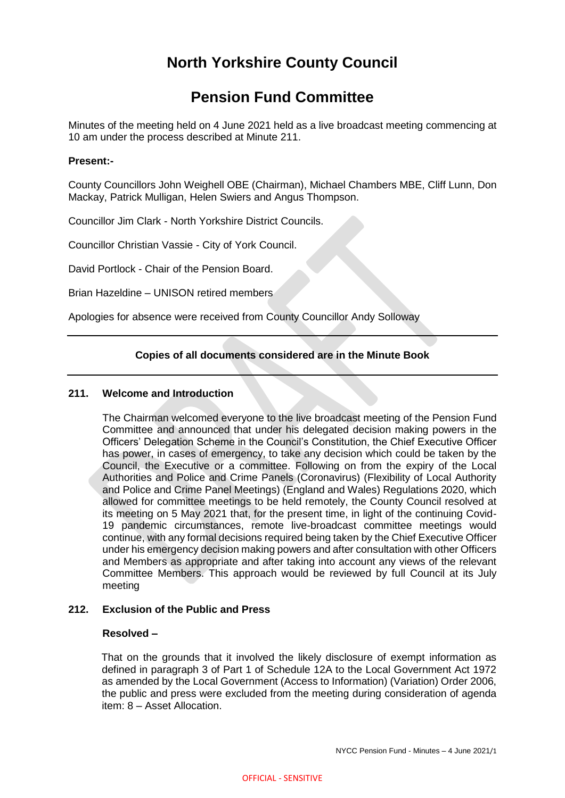# **North Yorkshire County Council**

# **Pension Fund Committee**

Minutes of the meeting held on 4 June 2021 held as a live broadcast meeting commencing at 10 am under the process described at Minute 211.

## **Present:-**

County Councillors John Weighell OBE (Chairman), Michael Chambers MBE, Cliff Lunn, Don Mackay, Patrick Mulligan, Helen Swiers and Angus Thompson.

Councillor Jim Clark - North Yorkshire District Councils.

Councillor Christian Vassie - City of York Council.

David Portlock - Chair of the Pension Board.

Brian Hazeldine – UNISON retired members

Apologies for absence were received from County Councillor Andy Solloway

## **Copies of all documents considered are in the Minute Book**

## **211. Welcome and Introduction**

The Chairman welcomed everyone to the live broadcast meeting of the Pension Fund Committee and announced that under his delegated decision making powers in the Officers' Delegation Scheme in the Council's Constitution, the Chief Executive Officer has power, in cases of emergency, to take any decision which could be taken by the Council, the Executive or a committee. Following on from the expiry of the Local Authorities and Police and Crime Panels (Coronavirus) (Flexibility of Local Authority and Police and Crime Panel Meetings) (England and Wales) Regulations 2020, which allowed for committee meetings to be held remotely, the County Council resolved at its meeting on 5 May 2021 that, for the present time, in light of the continuing Covid-19 pandemic circumstances, remote live-broadcast committee meetings would continue, with any formal decisions required being taken by the Chief Executive Officer under his emergency decision making powers and after consultation with other Officers and Members as appropriate and after taking into account any views of the relevant Committee Members. This approach would be reviewed by full Council at its July meeting

## **212. Exclusion of the Public and Press**

## **Resolved –**

That on the grounds that it involved the likely disclosure of exempt information as defined in paragraph 3 of Part 1 of Schedule 12A to the Local Government Act 1972 as amended by the Local Government (Access to Information) (Variation) Order 2006, the public and press were excluded from the meeting during consideration of agenda item: 8 – Asset Allocation.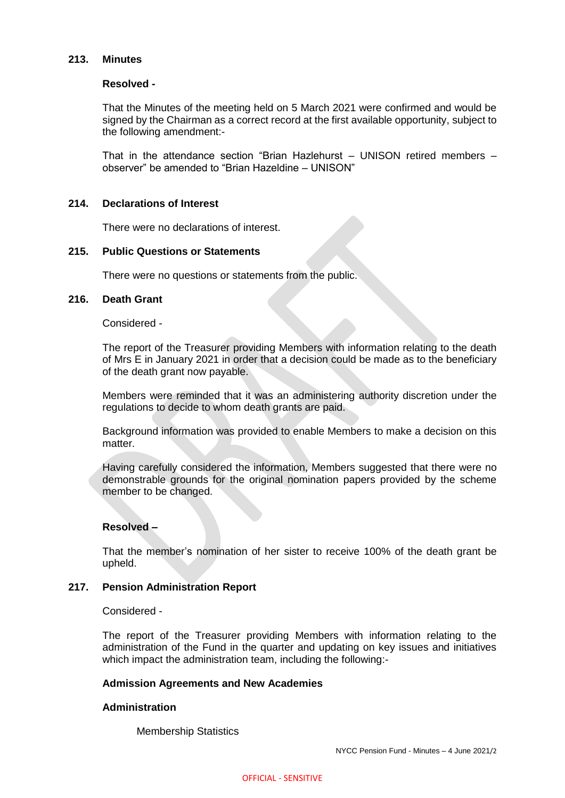## **213. Minutes**

#### **Resolved -**

That the Minutes of the meeting held on 5 March 2021 were confirmed and would be signed by the Chairman as a correct record at the first available opportunity, subject to the following amendment:-

That in the attendance section "Brian Hazlehurst – UNISON retired members – observer" be amended to "Brian Hazeldine – UNISON"

#### **214. Declarations of Interest**

There were no declarations of interest.

#### **215. Public Questions or Statements**

There were no questions or statements from the public.

#### **216. Death Grant**

Considered -

The report of the Treasurer providing Members with information relating to the death of Mrs E in January 2021 in order that a decision could be made as to the beneficiary of the death grant now payable.

Members were reminded that it was an administering authority discretion under the regulations to decide to whom death grants are paid.

Background information was provided to enable Members to make a decision on this matter.

Having carefully considered the information, Members suggested that there were no demonstrable grounds for the original nomination papers provided by the scheme member to be changed.

## **Resolved –**

That the member's nomination of her sister to receive 100% of the death grant be upheld.

#### **217. Pension Administration Report**

Considered -

The report of the Treasurer providing Members with information relating to the administration of the Fund in the quarter and updating on key issues and initiatives which impact the administration team, including the following:-

#### **Admission Agreements and New Academies**

#### **Administration**

Membership Statistics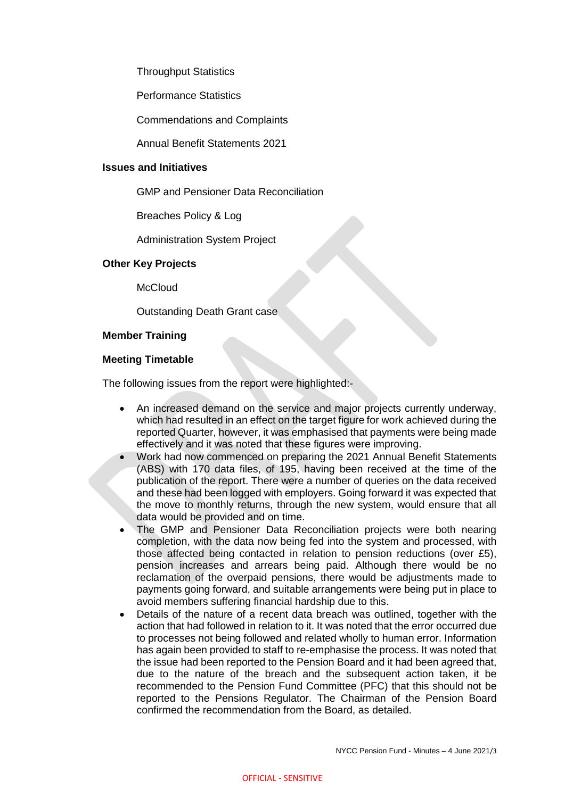Throughput Statistics

Performance Statistics

Commendations and Complaints

Annual Benefit Statements 2021

#### **Issues and Initiatives**

GMP and Pensioner Data Reconciliation

Breaches Policy & Log

Administration System Project

#### **Other Key Projects**

**McCloud** 

Outstanding Death Grant case

#### **Member Training**

#### **Meeting Timetable**

The following issues from the report were highlighted:-

- An increased demand on the service and major projects currently underway, which had resulted in an effect on the target figure for work achieved during the reported Quarter, however, it was emphasised that payments were being made effectively and it was noted that these figures were improving.
- Work had now commenced on preparing the 2021 Annual Benefit Statements (ABS) with 170 data files, of 195, having been received at the time of the publication of the report. There were a number of queries on the data received and these had been logged with employers. Going forward it was expected that the move to monthly returns, through the new system, would ensure that all data would be provided and on time.
- The GMP and Pensioner Data Reconciliation projects were both nearing completion, with the data now being fed into the system and processed, with those affected being contacted in relation to pension reductions (over £5), pension increases and arrears being paid. Although there would be no reclamation of the overpaid pensions, there would be adjustments made to payments going forward, and suitable arrangements were being put in place to avoid members suffering financial hardship due to this.
- Details of the nature of a recent data breach was outlined, together with the action that had followed in relation to it. It was noted that the error occurred due to processes not being followed and related wholly to human error. Information has again been provided to staff to re-emphasise the process. It was noted that the issue had been reported to the Pension Board and it had been agreed that, due to the nature of the breach and the subsequent action taken, it be recommended to the Pension Fund Committee (PFC) that this should not be reported to the Pensions Regulator. The Chairman of the Pension Board confirmed the recommendation from the Board, as detailed.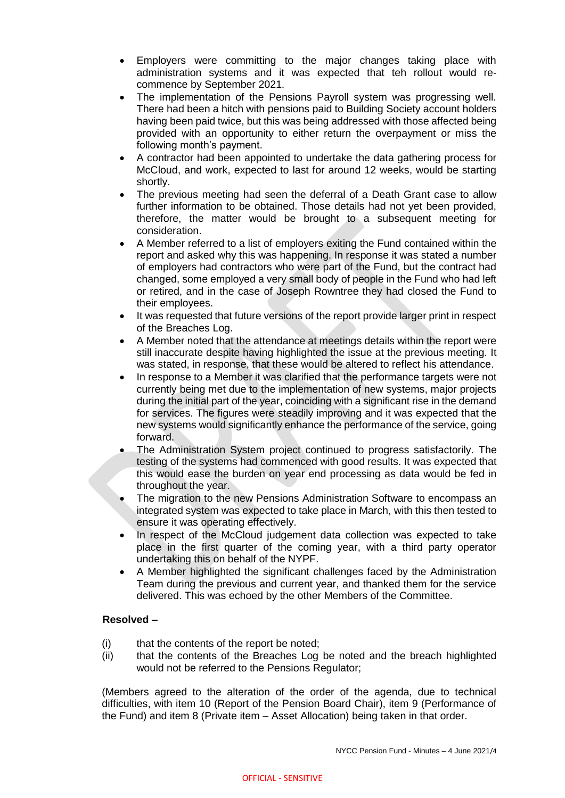- Employers were committing to the major changes taking place with administration systems and it was expected that teh rollout would recommence by September 2021.
- The implementation of the Pensions Payroll system was progressing well. There had been a hitch with pensions paid to Building Society account holders having been paid twice, but this was being addressed with those affected being provided with an opportunity to either return the overpayment or miss the following month's payment.
- A contractor had been appointed to undertake the data gathering process for McCloud, and work, expected to last for around 12 weeks, would be starting shortly.
- The previous meeting had seen the deferral of a Death Grant case to allow further information to be obtained. Those details had not yet been provided, therefore, the matter would be brought to a subsequent meeting for consideration.
- A Member referred to a list of employers exiting the Fund contained within the report and asked why this was happening. In response it was stated a number of employers had contractors who were part of the Fund, but the contract had changed, some employed a very small body of people in the Fund who had left or retired, and in the case of Joseph Rowntree they had closed the Fund to their employees.
- It was requested that future versions of the report provide larger print in respect of the Breaches Log.
- A Member noted that the attendance at meetings details within the report were still inaccurate despite having highlighted the issue at the previous meeting. It was stated, in response, that these would be altered to reflect his attendance.
- In response to a Member it was clarified that the performance targets were not currently being met due to the implementation of new systems, major projects during the initial part of the year, coinciding with a significant rise in the demand for services. The figures were steadily improving and it was expected that the new systems would significantly enhance the performance of the service, going forward.
- The Administration System project continued to progress satisfactorily. The testing of the systems had commenced with good results. It was expected that this would ease the burden on year end processing as data would be fed in throughout the year.
- The migration to the new Pensions Administration Software to encompass an integrated system was expected to take place in March, with this then tested to ensure it was operating effectively.
- In respect of the McCloud judgement data collection was expected to take place in the first quarter of the coming year, with a third party operator undertaking this on behalf of the NYPF.
- A Member highlighted the significant challenges faced by the Administration Team during the previous and current year, and thanked them for the service delivered. This was echoed by the other Members of the Committee.

## **Resolved –**

- (i) that the contents of the report be noted;
- (ii) that the contents of the Breaches Log be noted and the breach highlighted would not be referred to the Pensions Regulator;

(Members agreed to the alteration of the order of the agenda, due to technical difficulties, with item 10 (Report of the Pension Board Chair), item 9 (Performance of the Fund) and item 8 (Private item – Asset Allocation) being taken in that order.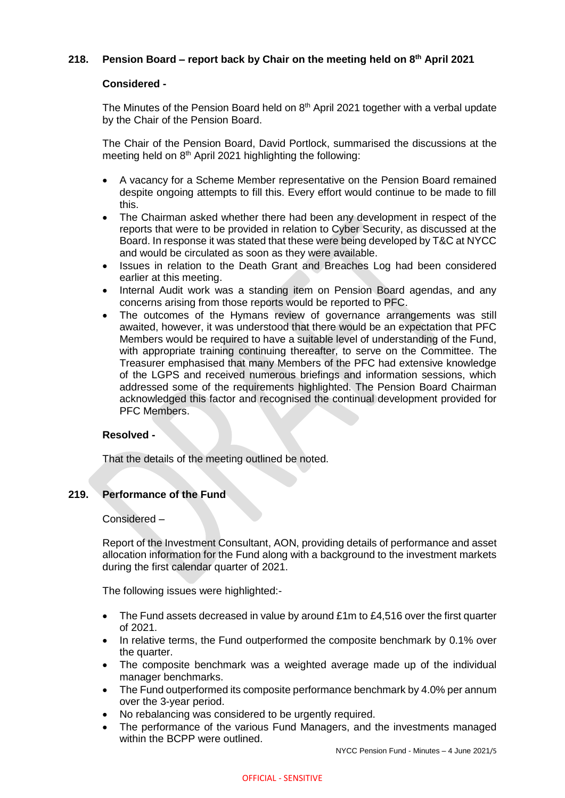## **218. Pension Board – report back by Chair on the meeting held on 8 th April 2021**

## **Considered -**

The Minutes of the Pension Board held on 8<sup>th</sup> April 2021 together with a verbal update by the Chair of the Pension Board.

The Chair of the Pension Board, David Portlock, summarised the discussions at the meeting held on 8<sup>th</sup> April 2021 highlighting the following:

- A vacancy for a Scheme Member representative on the Pension Board remained despite ongoing attempts to fill this. Every effort would continue to be made to fill this.
- The Chairman asked whether there had been any development in respect of the reports that were to be provided in relation to Cyber Security, as discussed at the Board. In response it was stated that these were being developed by T&C at NYCC and would be circulated as soon as they were available.
- Issues in relation to the Death Grant and Breaches Log had been considered earlier at this meeting.
- Internal Audit work was a standing item on Pension Board agendas, and any concerns arising from those reports would be reported to PFC.
- The outcomes of the Hymans review of governance arrangements was still awaited, however, it was understood that there would be an expectation that PFC Members would be required to have a suitable level of understanding of the Fund, with appropriate training continuing thereafter, to serve on the Committee. The Treasurer emphasised that many Members of the PFC had extensive knowledge of the LGPS and received numerous briefings and information sessions, which addressed some of the requirements highlighted. The Pension Board Chairman acknowledged this factor and recognised the continual development provided for PFC Members.

## **Resolved -**

That the details of the meeting outlined be noted.

## **219. Performance of the Fund**

Considered –

Report of the Investment Consultant, AON, providing details of performance and asset allocation information for the Fund along with a background to the investment markets during the first calendar quarter of 2021.

The following issues were highlighted:-

- The Fund assets decreased in value by around £1m to £4,516 over the first quarter of 2021.
- In relative terms, the Fund outperformed the composite benchmark by 0.1% over the quarter.
- The composite benchmark was a weighted average made up of the individual manager benchmarks.
- The Fund outperformed its composite performance benchmark by 4.0% per annum over the 3-year period.
- No rebalancing was considered to be urgently required.
- The performance of the various Fund Managers, and the investments managed within the BCPP were outlined.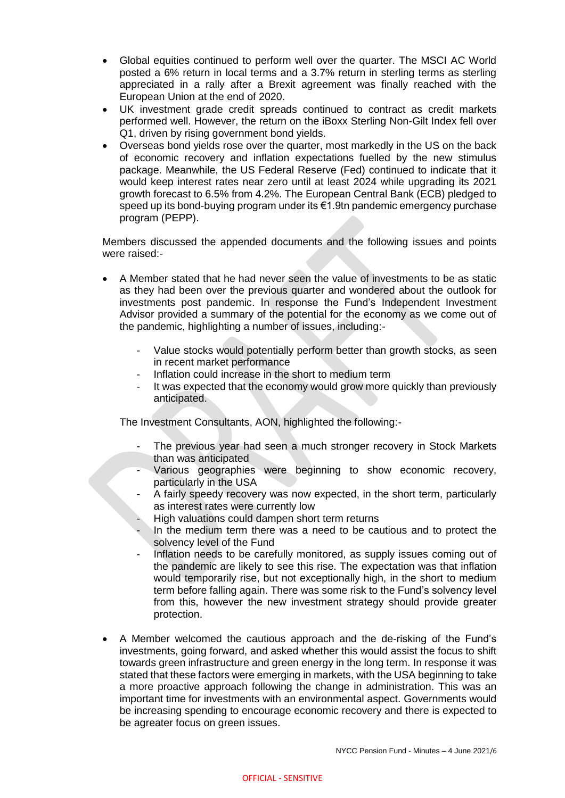- Global equities continued to perform well over the quarter. The MSCI AC World posted a 6% return in local terms and a 3.7% return in sterling terms as sterling appreciated in a rally after a Brexit agreement was finally reached with the European Union at the end of 2020.
- UK investment grade credit spreads continued to contract as credit markets performed well. However, the return on the iBoxx Sterling Non-Gilt Index fell over Q1, driven by rising government bond yields.
- Overseas bond yields rose over the quarter, most markedly in the US on the back of economic recovery and inflation expectations fuelled by the new stimulus package. Meanwhile, the US Federal Reserve (Fed) continued to indicate that it would keep interest rates near zero until at least 2024 while upgrading its 2021 growth forecast to 6.5% from 4.2%. The European Central Bank (ECB) pledged to speed up its bond-buying program under its €1.9tn pandemic emergency purchase program (PEPP).

Members discussed the appended documents and the following issues and points were raised:-

- A Member stated that he had never seen the value of investments to be as static as they had been over the previous quarter and wondered about the outlook for investments post pandemic. In response the Fund's Independent Investment Advisor provided a summary of the potential for the economy as we come out of the pandemic, highlighting a number of issues, including:-
	- Value stocks would potentially perform better than growth stocks, as seen in recent market performance
	- Inflation could increase in the short to medium term
	- It was expected that the economy would grow more quickly than previously anticipated.

The Investment Consultants, AON, highlighted the following:-

- The previous year had seen a much stronger recovery in Stock Markets than was anticipated
- Various geographies were beginning to show economic recovery, particularly in the USA
- A fairly speedy recovery was now expected, in the short term, particularly as interest rates were currently low
- High valuations could dampen short term returns
- In the medium term there was a need to be cautious and to protect the solvency level of the Fund
- Inflation needs to be carefully monitored, as supply issues coming out of the pandemic are likely to see this rise. The expectation was that inflation would temporarily rise, but not exceptionally high, in the short to medium term before falling again. There was some risk to the Fund's solvency level from this, however the new investment strategy should provide greater protection.
- A Member welcomed the cautious approach and the de-risking of the Fund's investments, going forward, and asked whether this would assist the focus to shift towards green infrastructure and green energy in the long term. In response it was stated that these factors were emerging in markets, with the USA beginning to take a more proactive approach following the change in administration. This was an important time for investments with an environmental aspect. Governments would be increasing spending to encourage economic recovery and there is expected to be agreater focus on green issues.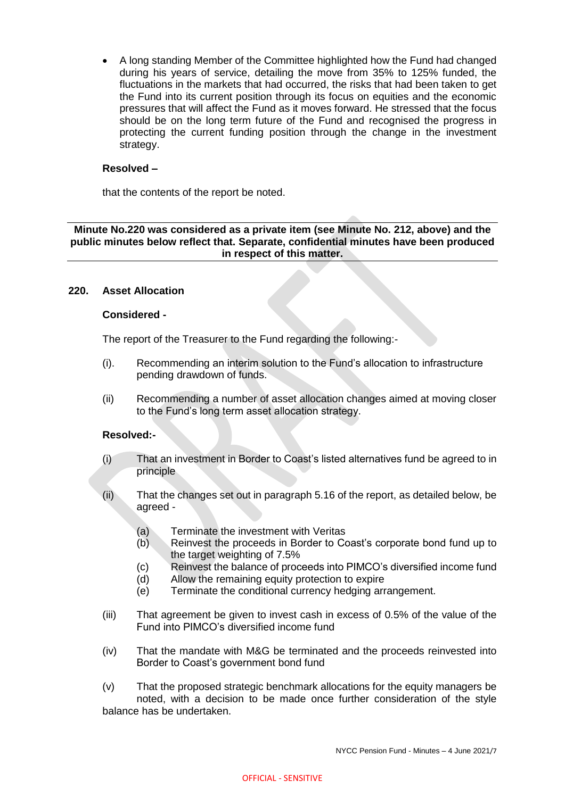A long standing Member of the Committee highlighted how the Fund had changed during his years of service, detailing the move from 35% to 125% funded, the fluctuations in the markets that had occurred, the risks that had been taken to get the Fund into its current position through its focus on equities and the economic pressures that will affect the Fund as it moves forward. He stressed that the focus should be on the long term future of the Fund and recognised the progress in protecting the current funding position through the change in the investment strategy.

## **Resolved –**

that the contents of the report be noted.

## **Minute No.220 was considered as a private item (see Minute No. 212, above) and the public minutes below reflect that. Separate, confidential minutes have been produced in respect of this matter.**

## **220. Asset Allocation**

#### **Considered -**

The report of the Treasurer to the Fund regarding the following:-

- (i). Recommending an interim solution to the Fund's allocation to infrastructure pending drawdown of funds.
- (ii) Recommending a number of asset allocation changes aimed at moving closer to the Fund's long term asset allocation strategy.

#### **Resolved:-**

- (i) That an investment in Border to Coast's listed alternatives fund be agreed to in principle
- (ii) That the changes set out in paragraph 5.16 of the report, as detailed below, be agreed -
	- (a) Terminate the investment with Veritas
	- (b) Reinvest the proceeds in Border to Coast's corporate bond fund up to the target weighting of 7.5%
	- (c) Reinvest the balance of proceeds into PIMCO's diversified income fund
	- (d) Allow the remaining equity protection to expire
	- (e) Terminate the conditional currency hedging arrangement.
- (iii) That agreement be given to invest cash in excess of 0.5% of the value of the Fund into PIMCO's diversified income fund
- (iv) That the mandate with M&G be terminated and the proceeds reinvested into Border to Coast's government bond fund
- (v) That the proposed strategic benchmark allocations for the equity managers be noted, with a decision to be made once further consideration of the style balance has be undertaken.